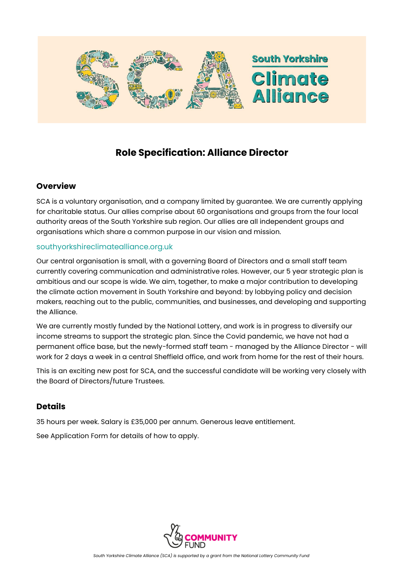

# **Role Specification: Alliance Director**

# **Overview**

SCA is a voluntary organisation, and a company limited by guarantee. We are currently applying for charitable status. Our allies comprise about 60 organisations and groups from the four local authority areas of the South Yorkshire sub region. Our allies are all independent groups and organisations which share a common purpose in our vision and mission.

## [southyorkshireclimatealliance.org.uk](https://www.southyorkshireclimatealliance.org.uk/)

Our central organisation is small, with a governing Board of Directors and a small staff team currently covering communication and administrative roles. However, our 5 year strategic plan is ambitious and our scope is wide. We aim, together, to make a major contribution to developing the climate action movement in South Yorkshire and beyond: by lobbying policy and decision makers, reaching out to the public, communities, and businesses, and developing and supporting the Alliance.

We are currently mostly funded by the National Lottery, and work is in progress to diversify our income streams to support the strategic plan. Since the Covid pandemic, we have not had a permanent office base, but the newly-formed staff team - managed by the Alliance Director - will work for 2 days a week in a central Sheffield office, and work from home for the rest of their hours.

This is an exciting new post for SCA, and the successful candidate will be working very closely with the Board of Directors/future Trustees.

# **Details**

35 hours per week. Salary is £35,000 per annum. Generous leave entitlement.

See Application Form for details of how to apply.

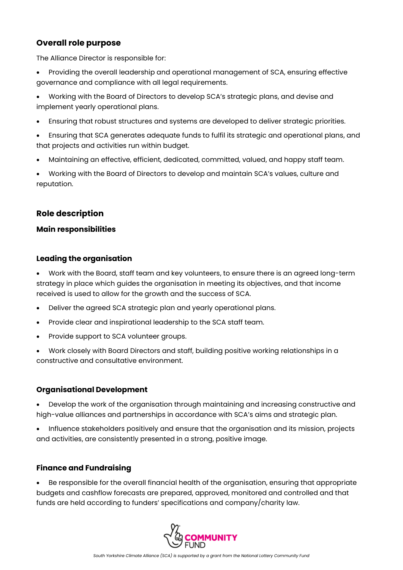# **Overall role purpose**

The Alliance Director is responsible for:

- Providing the overall leadership and operational management of SCA, ensuring effective governance and compliance with all legal requirements.
- Working with the Board of Directors to develop SCA's strategic plans, and devise and implement yearly operational plans.
- Ensuring that robust structures and systems are developed to deliver strategic priorities.
- Ensuring that SCA generates adequate funds to fulfil its strategic and operational plans, and that projects and activities run within budget.
- Maintaining an effective, efficient, dedicated, committed, valued, and happy staff team.
- Working with the Board of Directors to develop and maintain SCA's values, culture and reputation.

# **Role description**

#### **Main responsibilities**

#### **Leading the organisation**

- Work with the Board, staff team and key volunteers, to ensure there is an agreed long-term strategy in place which guides the organisation in meeting its objectives, and that income received is used to allow for the growth and the success of SCA.
- Deliver the agreed SCA strategic plan and yearly operational plans.
- Provide clear and inspirational leadership to the SCA staff team.
- Provide support to SCA volunteer groups.
- Work closely with Board Directors and staff, building positive working relationships in a constructive and consultative environment.

## **Organisational Development**

- Develop the work of the organisation through maintaining and increasing constructive and high-value alliances and partnerships in accordance with SCA's aims and strategic plan.
- Influence stakeholders positively and ensure that the organisation and its mission, projects and activities, are consistently presented in a strong, positive image.

## **Finance and Fundraising**

• Be responsible for the overall financial health of the organisation, ensuring that appropriate budgets and cashflow forecasts are prepared, approved, monitored and controlled and that funds are held according to funders' specifications and company/charity law.